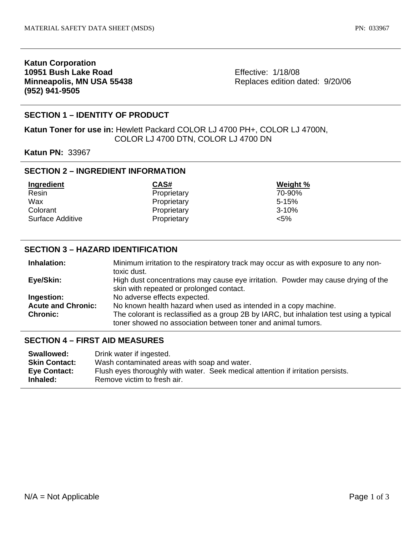## **Katun Corporation 10951 Bush Lake Road Minneapolis, MN USA 55438 (952) 941-9505**

Effective: 1/18/08 Replaces edition dated: 9/20/06

## **SECTION 1 – IDENTITY OF PRODUCT**

**Katun Toner for use in:** Hewlett Packard COLOR LJ 4700 PH+, COLOR LJ 4700N, COLOR LJ 4700 DTN, COLOR LJ 4700 DN

**Katun PN:** 33967

## **SECTION 2 – INGREDIENT INFORMATION**

| Ingredient       | CAS#        | Weight %  |
|------------------|-------------|-----------|
| Resin            | Proprietary | 70-90%    |
| Wax              | Proprietary | $5 - 15%$ |
| Colorant         | Proprietary | $3 - 10%$ |
| Surface Additive | Proprietary | $< 5\%$   |

### **SECTION 3 – HAZARD IDENTIFICATION**

| Inhalation:               | Minimum irritation to the respiratory track may occur as with exposure to any non-      |  |
|---------------------------|-----------------------------------------------------------------------------------------|--|
|                           | toxic dust.                                                                             |  |
| Eye/Skin:                 | High dust concentrations may cause eye irritation. Powder may cause drying of the       |  |
|                           | skin with repeated or prolonged contact.                                                |  |
| Ingestion:                | No adverse effects expected.                                                            |  |
| <b>Acute and Chronic:</b> | No known health hazard when used as intended in a copy machine.                         |  |
| <b>Chronic:</b>           | The colorant is reclassified as a group 2B by IARC, but inhalation test using a typical |  |
|                           | toner showed no association between toner and animal tumors.                            |  |

#### **SECTION 4 – FIRST AID MEASURES**

| Swallowed:               | Drink water if ingested.                                                                                        |
|--------------------------|-----------------------------------------------------------------------------------------------------------------|
| <b>Skin Contact:</b>     | Wash contaminated areas with soap and water.                                                                    |
| Eye Contact:<br>Inhaled: | Flush eyes thoroughly with water. Seek medical attention if irritation persists.<br>Remove victim to fresh air. |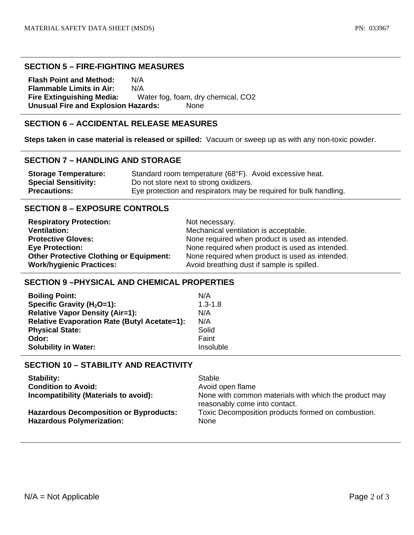#### **SECTION 5 – FIRE-FIGHTING MEASURES**

**Flash Point and Method:** N/A **Flammable Limits in Air:** N/A **Fire Extinguishing Media:** Water fog, foam, dry chemical, CO2 **Unusual Fire and Explosion Hazards:** None

# **SECTION 6 – ACCIDENTAL RELEASE MEASURES**

**Steps taken in case material is released or spilled:** Vacuum or sweep up as with any non-toxic powder.

### **SECTION 7 – HANDLING AND STORAGE**

| <b>Storage Temperature:</b> | Standard room temperature (68°F). Avoid excessive heat.           |
|-----------------------------|-------------------------------------------------------------------|
| <b>Special Sensitivity:</b> | Do not store next to strong oxidizers.                            |
| <b>Precautions:</b>         | Eye protection and respirators may be required for bulk handling. |

## **SECTION 8 – EXPOSURE CONTROLS**

| <b>Respiratory Protection:</b>                 | Not necessary.                                  |
|------------------------------------------------|-------------------------------------------------|
| <b>Ventilation:</b>                            | Mechanical ventilation is acceptable.           |
| <b>Protective Gloves:</b>                      | None required when product is used as intended. |
| <b>Eye Protection:</b>                         | None required when product is used as intended. |
| <b>Other Protective Clothing or Equipment:</b> | None required when product is used as intended. |
| <b>Work/hygienic Practices:</b>                | Avoid breathing dust if sample is spilled.      |

### **SECTION 9 –PHYSICAL AND CHEMICAL PROPERTIES**

| <b>Boiling Point:</b>                               | N/A         |
|-----------------------------------------------------|-------------|
| Specific Gravity ( $H_2O=1$ ):                      | $1.3 - 1.8$ |
| <b>Relative Vapor Density (Air=1):</b>              | N/A         |
| <b>Relative Evaporation Rate (Butyl Acetate=1):</b> | N/A         |
| <b>Physical State:</b>                              | Solid       |
| Odor:                                               | Faint       |
| <b>Solubility in Water:</b>                         | Insoluble   |

## **SECTION 10 – STABILITY AND REACTIVITY**

| <b>Stability:</b>                                                                 | Stable                                                                                 |
|-----------------------------------------------------------------------------------|----------------------------------------------------------------------------------------|
| <b>Condition to Avoid:</b>                                                        | Avoid open flame                                                                       |
| Incompatibility (Materials to avoid):                                             | None with common materials with which the product may<br>reasonably come into contact. |
| <b>Hazardous Decomposition or Byproducts:</b><br><b>Hazardous Polymerization:</b> | Toxic Decomposition products formed on combustion.<br>None                             |